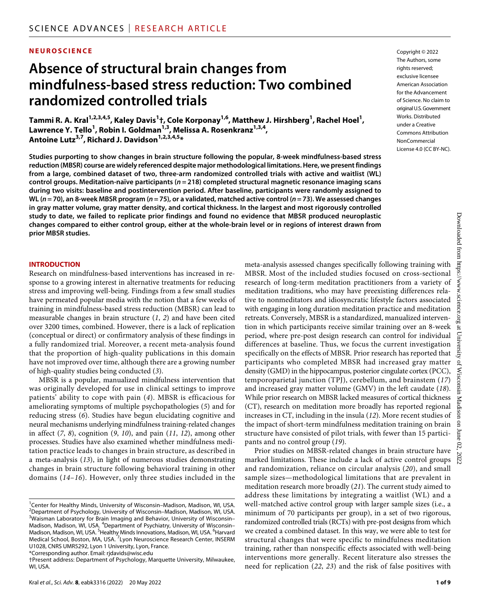#### **NEUROSCIENCE**

## **Absence of structural brain changes from mindfulness-based stress reduction: Two combined randomized controlled trials**

 $\mathbf{F}$ ammi R. A. Kral<sup>1,2,3,4,5</sup>, Kaley Davis<sup>1</sup>†, Cole Korponay<sup>1,6</sup>, Matthew J. Hirshberg<sup>1</sup>, Rachel Hoel<sup>1</sup>, Lawrence Y. Tello<sup>1</sup>, Robin I. Goldman<sup>1,3</sup>, Melissa A. Rosenkranz<sup>1,3,4</sup>, **Antoine Lutz3,7 , Richard J. Davidson1,2,3,4,5 \***

**Studies purporting to show changes in brain structure following the popular, 8-week mindfulness-based stress reduction (MBSR) course are widely referenced despite major methodological limitations. Here, we present findings from a large, combined dataset of two, three-arm randomized controlled trials with active and waitlist (WL) control groups. Meditation-naïve participants (***n* **= 218) completed structural magnetic resonance imaging scans during two visits: baseline and postintervention period. After baseline, participants were randomly assigned to WL (***n* **= 70), an 8-week MBSR program (***n* **= 75), or a validated, matched active control (***n* **= 73). We assessed changes in gray matter volume, gray matter density, and cortical thickness. In the largest and most rigorously controlled study to date, we failed to replicate prior findings and found no evidence that MBSR produced neuroplastic changes compared to either control group, either at the whole-brain level or in regions of interest drawn from prior MBSR studies.**

#### **INTRODUCTION**

Research on mindfulness-based interventions has increased in response to a growing interest in alternative treatments for reducing stress and improving well-being. Findings from a few small studies have permeated popular media with the notion that a few weeks of training in mindfulness-based stress reduction (MBSR) can lead to measurable changes in brain structure (*1*, *2*) and have been cited over 3200 times, combined. However, there is a lack of replication (conceptual or direct) or confirmatory analysis of these findings in a fully randomized trial. Moreover, a recent meta-analysis found that the proportion of high-quality publications in this domain have not improved over time, although there are a growing number of high-quality studies being conducted (*3*).

MBSR is a popular, manualized mindfulness intervention that was originally developed for use in clinical settings to improve patients' ability to cope with pain (*4*). MBSR is efficacious for ameliorating symptoms of multiple psychopathologies (*5*) and for reducing stress (*6*). Studies have begun elucidating cognitive and neural mechanisms underlying mindfulness training-related changes in affect (*7*, *8*), cognition (*9*, *10*), and pain (*11*, *12*), among other processes. Studies have also examined whether mindfulness meditation practice leads to changes in brain structure, as described in a meta-analysis (*13*), in light of numerous studies demonstrating changes in brain structure following behavioral training in other domains (*14*–*16*). However, only three studies included in the

\*Corresponding author. Email: [rjdavids@wisc.edu](mailto:rjdavids@wisc.edu)

Copyright © 2022 The Authors, some rights reserved: exclusive licensee American Association for the Advancement of Science. No claim to original U.S.Government Works. Distributed under a Creative Commons Attribution **NonCommercial** License 4.0 (CC BY-NC).

meta-analysis assessed changes specifically following training with MBSR. Most of the included studies focused on cross-sectional research of long-term meditation practitioners from a variety of meditation traditions, who may have preexisting differences relative to nonmeditators and idiosyncratic lifestyle factors associated with engaging in long duration meditation practice and meditation retreats. Conversely, MBSR is a standardized, manualized intervention in which participants receive similar training over an 8-week period, where pre-post design research can control for individual differences at baseline. Thus, we focus the current investigation specifically on the effects of MBSR. Prior research has reported that participants who completed MBSR had increased gray matter density (GMD) in the hippocampus, posterior cingulate cortex (PCC), temporoparietal junction (TPJ), cerebellum, and brainstem (*17*) and increased gray matter volume (GMV) in the left caudate (*18*). While prior research on MBSR lacked measures of cortical thickness (CT), research on meditation more broadly has reported regional increases in CT, including in the insula (*12*). More recent studies of the impact of short-term mindfulness meditation training on brain structure have consisted of pilot trials, with fewer than 15 participants and no control group (*19*).

Prior studies on MBSR-related changes in brain structure have marked limitations. These include a lack of active control groups and randomization, reliance on circular analysis (*20*), and small sample sizes—methodological limitations that are prevalent in meditation research more broadly (*21*). The current study aimed to address these limitations by integrating a waitlist (WL) and a well-matched active control group with larger sample sizes (i.e., a minimum of 70 participants per group), in a set of two rigorous, randomized controlled trials (RCTs) with pre-post designs from which we created a combined dataset. In this way, we were able to test for structural changes that were specific to mindfulness meditation training, rather than nonspecific effects associated with well-being interventions more generally. Recent literature also stresses the need for replication (*22*, *23*) and the risk of false positives with

<sup>&</sup>lt;sup>1</sup>Center for Healthy Minds, University of Wisconsin–Madison, Madison, WI, USA. <sup>2</sup> Department of Psychology, University of Wisconsin–Madison, Madison, WI, USA. <sup>3</sup>Waisman Laboratory for Brain Imaging and Behavior, University of Wisconsin-Madison, Madison, WI, USA. <sup>4</sup>Department of Psychiatry, University of Wisconsin-Madison, Madison, WI, USA. <sup>5</sup>Healthy Minds Innovations, Madison, WI, USA. <sup>6</sup>Harvard Medical School, Boston, MA, USA.<sup>7</sup>Lyon Neuroscience Research Center, INSERM U1028, CNRS UMR5292, Lyon 1 University, Lyon, France.

<sup>†</sup>Present address: Department of Psychology, Marquette University, Milwaukee, WI, USA.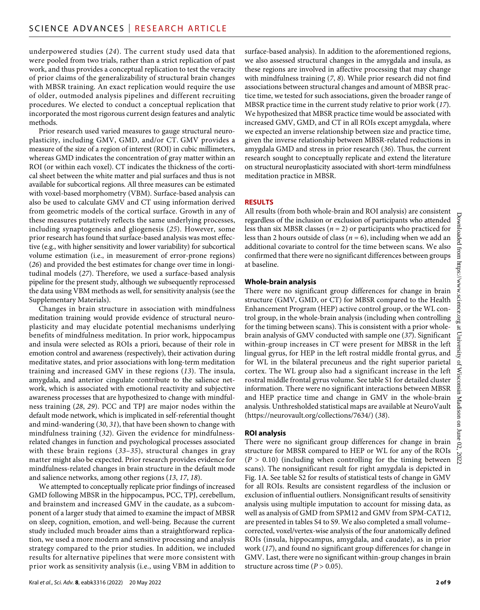underpowered studies (*24*). The current study used data that were pooled from two trials, rather than a strict replication of past work, and thus provides a conceptual replication to test the veracity of prior claims of the generalizability of structural brain changes with MBSR training. An exact replication would require the use of older, outmoded analysis pipelines and different recruiting procedures. We elected to conduct a conceptual replication that incorporated the most rigorous current design features and analytic methods.

Prior research used varied measures to gauge structural neuroplasticity, including GMV, GMD, and/or CT. GMV provides a measure of the size of a region of interest (ROI) in cubic millimeters, whereas GMD indicates the concentration of gray matter within an ROI (or within each voxel). CT indicates the thickness of the cortical sheet between the white matter and pial surfaces and thus is not available for subcortical regions. All three measures can be estimated with voxel-based morphometry (VBM). Surface-based analysis can also be used to calculate GMV and CT using information derived from geometric models of the cortical surface. Growth in any of these measures putatively reflects the same underlying processes, including synaptogenesis and gliogenesis (*25*). However, some prior research has found that surface-based analysis was most effective (e.g., with higher sensitivity and lower variability) for subcortical volume estimation (i.e., in measurement of error-prone regions) (*26*) and provided the best estimates for change over time in longitudinal models (*27*). Therefore, we used a surface-based analysis pipeline for the present study, although we subsequently reprocessed the data using VBM methods as well, for sensitivity analysis (see the Supplementary Materials).

Changes in brain structure in association with mindfulness meditation training would provide evidence of structural neuroplasticity and may elucidate potential mechanisms underlying benefits of mindfulness meditation. In prior work, hippocampus and insula were selected as ROIs a priori, because of their role in emotion control and awareness (respectively), their activation during meditative states, and prior associations with long-term meditation training and increased GMV in these regions (*13*). The insula, amygdala, and anterior cingulate contribute to the salience network, which is associated with emotional reactivity and subjective awareness processes that are hypothesized to change with mindfulness training (*28*, *29*). PCC and TPJ are major nodes within the default mode network, which is implicated in self-referential thought and mind-wandering (*30*, *31*), that have been shown to change with mindfulness training (*32*). Given the evidence for mindfulnessrelated changes in function and psychological processes associated with these brain regions (*33*–*35*), structural changes in gray matter might also be expected. Prior research provides evidence for mindfulness-related changes in brain structure in the default mode and salience networks, among other regions (*13*, *17*, *18*).

We attempted to conceptually replicate prior findings of increased GMD following MBSR in the hippocampus, PCC, TPJ, cerebellum, and brainstem and increased GMV in the caudate, as a subcomponent of a larger study that aimed to examine the impact of MBSR on sleep, cognition, emotion, and well-being. Because the current study included much broader aims than a straightforward replication, we used a more modern and sensitive processing and analysis strategy compared to the prior studies. In addition, we included results for alternative pipelines that were more consistent with prior work as sensitivity analysis (i.e., using VBM in addition to

surface-based analysis). In addition to the aforementioned regions, we also assessed structural changes in the amygdala and insula, as these regions are involved in affective processing that may change with mindfulness training (*7*, *8*). While prior research did not find associations between structural changes and amount of MBSR practice time, we tested for such associations, given the broader range of MBSR practice time in the current study relative to prior work (*17*). We hypothesized that MBSR practice time would be associated with increased GMV, GMD, and CT in all ROIs except amygdala, where we expected an inverse relationship between size and practice time, given the inverse relationship between MBSR-related reductions in amygdala GMD and stress in prior research (*36*). Thus, the current research sought to conceptually replicate and extend the literature on structural neuroplasticity associated with short-term mindfulness meditation practice in MBSR.

#### **RESULTS**

All results (from both whole-brain and ROI analysis) are consistent regardless of the inclusion or exclusion of participants who attended less than six MBSR classes (*n* = 2) or participants who practiced for less than 2 hours outside of class (*n* = 6), including when we add an additional covariate to control for the time between scans. We also confirmed that there were no significant differences between groups at baseline.

#### **Whole-brain analysis**

There were no significant group differences for change in brain structure (GMV, GMD, or CT) for MBSR compared to the Health Enhancement Program (HEP) active control group, or the WL control group, in the whole-brain analysis (including when controlling for the timing between scans). This is consistent with a prior wholebrain analysis of GMV conducted with sample one (*37*). Significant within-group increases in CT were present for MBSR in the left lingual gyrus, for HEP in the left rostral middle frontal gyrus, and for WL in the bilateral precuneus and the right superior parietal cortex. The WL group also had a significant increase in the left rostral middle frontal gyrus volume. See table S1 for detailed cluster information. There were no significant interactions between MBSR and HEP practice time and change in GMV in the whole-brain analysis. Unthresholded statistical maps are available at NeuroVault [\(https://neurovault.org/collections/7634/\)](https://neurovault.org/collections/7634/) (*38*).

#### **ROI analysis**

There were no significant group differences for change in brain structure for MBSR compared to HEP or WL for any of the ROIs  $(P > 0.10)$  (including when controlling for the timing between scans). The nonsignificant result for right amygdala is depicted in Fig. 1A. See table S2 for results of statistical tests of change in GMV for all ROIs. Results are consistent regardless of the inclusion or exclusion of influential outliers. Nonsignificant results of sensitivity analysis using multiple imputation to account for missing data, as well as analysis of GMD from SPM12 and GMV from SPM-CAT12, are presented in tables S4 to S9. We also completed a small volume– corrected, voxel/vertex-wise analysis of the four anatomically defined ROIs (insula, hippocampus, amygdala, and caudate), as in prior work (*17*), and found no significant group differences for change in GMV. Last, there were no significant within-group changes in brain structure across time  $(P > 0.05)$ .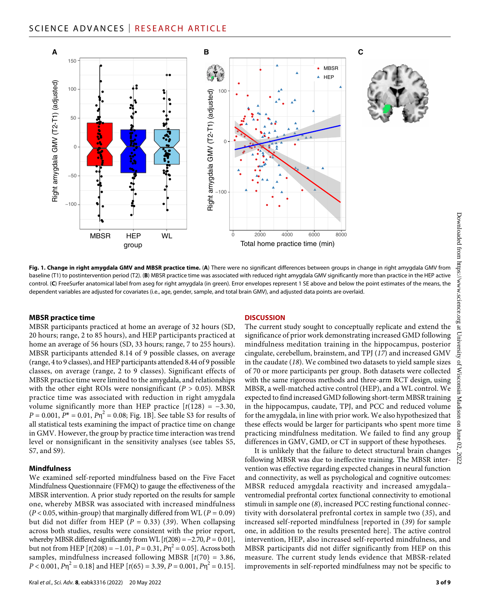



**Fig. 1. Change in right amygdala GMV and MBSR practice time.** (**A**) There were no significant differences between groups in change in right amygdala GMV from baseline (T1) to postintervention period (T2). (**B**) MBSR practice time was associated with reduced right amygdala GMV significantly more than practice in the HEP active control. (**C**) FreeSurfer anatomical label from aseg for right amygdala (in green). Error envelopes represent 1 SE above and below the point estimates of the means, the dependent variables are adjusted for covariates (i.e., age, gender, sample, and total brain GMV), and adjusted data points are overlaid.

#### **MBSR practice time**

MBSR participants practiced at home an average of 32 hours (SD, 20 hours; range, 2 to 85 hours), and HEP participants practiced at home an average of 56 hours (SD, 33 hours; range, 7 to 255 hours). MBSR participants attended 8.14 of 9 possible classes, on average (range, 4 to 9 classes), and HEP participants attended 8.44 of 9 possible classes, on average (range, 2 to 9 classes). Significant effects of MBSR practice time were limited to the amygdala, and relationships with the other eight ROIs were nonsignificant ( $P > 0.05$ ). MBSR practice time was associated with reduction in right amygdala volume significantly more than HEP practice  $[t(128) = -3.30,$  $P = 0.001$ ,  $P^* = 0.01$ ,  $P\eta^2 = 0.08$ ; Fig. 1B]. See table S3 for results of all statistical tests examining the impact of practice time on change in GMV. However, the group by practice time interaction was trend level or nonsignificant in the sensitivity analyses (see tables S5, S7, and S9).

#### **Mindfulness**

We examined self-reported mindfulness based on the Five Facet Mindfulness Questionnaire (FFMQ) to gauge the effectiveness of the MBSR intervention. A prior study reported on the results for sample one, whereby MBSR was associated with increased mindfulness (*P* < 0.05, within-group) that marginally differed from WL (*P* = 0.09) but did not differ from HEP ( $P = 0.33$ ) (39). When collapsing across both studies, results were consistent with the prior report, whereby MBSR differed significantly from WL  $[t(208) = -2.70, P = 0.01]$ , but not from HEP  $[t(208) = -1.01, P = 0.31, P\eta^2 = 0.05]$ . Across both samples, mindfulness increased following MBSR [*t*(70) = 3.86,  $P < 0.001$ ,  $P \eta^2 = 0.18$  and HEP  $[t(65) = 3.39, P = 0.001, P \eta^2 = 0.15]$ .

#### **DISCUSSION**

The current study sought to conceptually replicate and extend the significance of prior work demonstrating increased GMD following mindfulness meditation training in the hippocampus, posterior cingulate, cerebellum, brainstem, and TPJ (*17*) and increased GMV in the caudate (*18*). We combined two datasets to yield sample sizes of 70 or more participants per group. Both datasets were collected with the same rigorous methods and three-arm RCT design, using MBSR, a well-matched active control (HEP), and a WL control. We expected to find increased GMD following short-term MBSR training in the hippocampus, caudate, TPJ, and PCC and reduced volume for the amygdala, in line with prior work. We also hypothesized that these effects would be larger for participants who spent more time practicing mindfulness meditation. We failed to find any group differences in GMV, GMD, or CT in support of these hypotheses.

It is unlikely that the failure to detect structural brain changes following MBSR was due to ineffective training. The MBSR intervention was effective regarding expected changes in neural function and connectivity, as well as psychological and cognitive outcomes: MBSR reduced amygdala reactivity and increased amygdala– ventromedial prefrontal cortex functional connectivity to emotional stimuli in sample one (*8*), increased PCC resting functional connectivity with dorsolateral prefrontal cortex in sample two (*35*), and increased self-reported mindfulness [reported in (*39*) for sample one, in addition to the results presented here]. The active control intervention, HEP, also increased self-reported mindfulness, and MBSR participants did not differ significantly from HEP on this measure. The current study lends evidence that MBSR-related improvements in self-reported mindfulness may not be specific to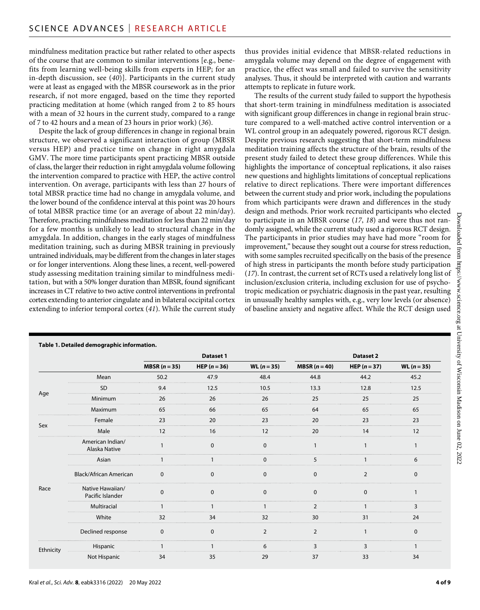mindfulness meditation practice but rather related to other aspects of the course that are common to similar interventions [e.g., benefits from learning well-being skills from experts in HEP; for an in-depth discussion, see (*40*)]. Participants in the current study were at least as engaged with the MBSR coursework as in the prior research, if not more engaged, based on the time they reported practicing meditation at home (which ranged from 2 to 85 hours with a mean of 32 hours in the current study, compared to a range of 7 to 42 hours and a mean of 23 hours in prior work) (*36*).

Despite the lack of group differences in change in regional brain structure, we observed a significant interaction of group (MBSR versus HEP) and practice time on change in right amygdala GMV. The more time participants spent practicing MBSR outside of class, the larger their reduction in right amygdala volume following the intervention compared to practice with HEP, the active control intervention. On average, participants with less than 27 hours of total MBSR practice time had no change in amygdala volume, and the lower bound of the confidence interval at this point was 20 hours of total MBSR practice time (or an average of about 22 min/day). Therefore, practicing mindfulness meditation for less than 22 min/day for a few months is unlikely to lead to structural change in the amygdala. In addition, changes in the early stages of mindfulness meditation training, such as during MBSR training in previously untrained individuals, may be different from the changes in later stages or for longer interventions. Along these lines, a recent, well-powered study assessing meditation training similar to mindfulness meditation, but with a 50% longer duration than MBSR, found significant increases in CT relative to two active control interventions in prefrontal cortex extending to anterior cingulate and in bilateral occipital cortex extending to inferior temporal cortex (*41*). While the current study

thus provides initial evidence that MBSR-related reductions in amygdala volume may depend on the degree of engagement with practice, the effect was small and failed to survive the sensitivity analyses. Thus, it should be interpreted with caution and warrants attempts to replicate in future work.

The results of the current study failed to support the hypothesis that short-term training in mindfulness meditation is associated with significant group differences in change in regional brain structure compared to a well-matched active control intervention or a WL control group in an adequately powered, rigorous RCT design. Despite previous research suggesting that short-term mindfulness meditation training affects the structure of the brain, results of the present study failed to detect these group differences. While this highlights the importance of conceptual replications, it also raises new questions and highlights limitations of conceptual replications relative to direct replications. There were important differences between the current study and prior work, including the populations from which participants were drawn and differences in the study design and methods. Prior work recruited participants who elected to participate in an MBSR course (*17*, *18*) and were thus not randomly assigned, while the current study used a rigorous RCT design. The participants in prior studies may have had more "room for improvement," because they sought out a course for stress reduction, with some samples recruited specifically on the basis of the presence of high stress in participants the month before study participation (*17*). In contrast, the current set of RCTs used a relatively long list of inclusion/exclusion criteria, including exclusion for use of psychotropic medication or psychiatric diagnosis in the past year, resulting in unusually healthy samples with, e.g., very low levels (or absence) of baseline anxiety and negative affect. While the RCT design used

|           |                                      |               | <b>Dataset 1</b>      |                      | Dataset 2     |                |                      |  |  |
|-----------|--------------------------------------|---------------|-----------------------|----------------------|---------------|----------------|----------------------|--|--|
|           |                                      | MBSR $(n=35)$ | <b>HEP</b> $(n = 36)$ | <b>WL</b> $(n = 35)$ | MBSR $(n=40)$ | HEP $(n = 37)$ | <b>WL</b> $(n = 35)$ |  |  |
| Age       | Mean                                 | 50.2          | 47.9                  | 48.4                 | 44.8          | 44.2           | 45.2                 |  |  |
|           | -SD                                  | 9.4           | 12.5                  | 10.5                 | 13.3          | 12.8           | 12.5                 |  |  |
|           | Minimum                              | 26            | 26                    | 26                   | 25            | 25             | 25                   |  |  |
|           | Maximum                              | 65            | 66                    | 65                   | 64            | 65             | 65                   |  |  |
| Sex       | Female                               | 23            | 20                    | 23                   | 20            | 23             | 23                   |  |  |
|           | Male                                 | 12            | 16                    | 12                   | 20            | 14             | 12                   |  |  |
| Race      | American Indian/<br>Alaska Native    |               |                       | n                    |               |                |                      |  |  |
|           | Asian                                |               |                       |                      |               |                |                      |  |  |
|           | <b>Black/African American</b>        | $\Omega$      |                       | n                    | n             |                |                      |  |  |
|           | Native Hawaiian/<br>Pacific Islander | U             |                       | O                    | <sup>0</sup>  | n              |                      |  |  |
|           | Multiracial                          |               |                       |                      |               |                |                      |  |  |
|           | White                                | 32            | 34                    | 32                   | 30            | 31             | 24                   |  |  |
|           | Declined response                    | $\Omega$      | $\Omega$              | $\mathcal{P}$        | $\mathcal{P}$ |                | $\Omega$             |  |  |
| Ethnicity | Hispanic                             |               |                       |                      |               |                |                      |  |  |
|           | Not Hispanic                         | 34            | 35                    | 29                   | 37            | 33             | 34                   |  |  |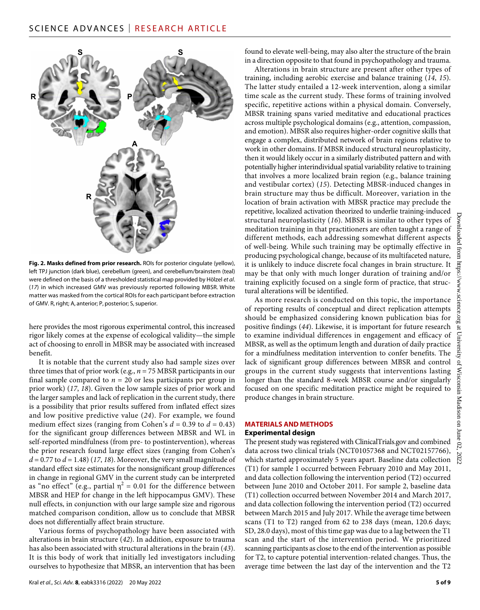

**Fig. 2. Masks defined from prior research.** ROIs for posterior cingulate (yellow), left TPJ junction (dark blue), cerebellum (green), and cerebellum/brainstem (teal) were defined on the basis of a thresholded statistical map provided by Hölzel *et al*. (*17*) in which increased GMV was previously reported following MBSR. White matter was masked from the cortical ROIs for each participant before extraction of GMV. R, right; A, anterior; P, posterior; S, superior.

here provides the most rigorous experimental control, this increased rigor likely comes at the expense of ecological validity—the simple act of choosing to enroll in MBSR may be associated with increased benefit.

It is notable that the current study also had sample sizes over three times that of prior work (e.g., *n* = 75 MBSR participants in our final sample compared to  $n = 20$  or less participants per group in prior work) (*17*, *18*). Given the low sample sizes of prior work and the larger samples and lack of replication in the current study, there is a possibility that prior results suffered from inflated effect sizes and low positive predictive value (*24*). For example, we found medium effect sizes (ranging from Cohen's  $d = 0.39$  to  $d = 0.43$ ) for the significant group differences between MBSR and WL in self-reported mindfulness (from pre- to postintervention), whereas the prior research found large effect sizes (ranging from Cohen's  $d = 0.77$  to  $d = 1.48$ ) (17, 18). Moreover, the very small magnitude of standard effect size estimates for the nonsignificant group differences in change in regional GMV in the current study can be interpreted as "no effect" (e.g., partial  $\eta^2 = 0.01$  for the difference between MBSR and HEP for change in the left hippocampus GMV). These null effects, in conjunction with our large sample size and rigorous matched comparison condition, allow us to conclude that MBSR does not differentially affect brain structure.

Various forms of psychopathology have been associated with alterations in brain structure (*42*). In addition, exposure to trauma has also been associated with structural alterations in the brain (*43*). It is this body of work that initially led investigators including ourselves to hypothesize that MBSR, an intervention that has been

found to elevate well-being, may also alter the structure of the brain in a direction opposite to that found in psychopathology and trauma.

Alterations in brain structure are present after other types of training, including aerobic exercise and balance training (*14*, *15*). The latter study entailed a 12-week intervention, along a similar time scale as the current study. These forms of training involved specific, repetitive actions within a physical domain. Conversely, MBSR training spans varied meditative and educational practices across multiple psychological domains (e.g., attention, compassion, and emotion). MBSR also requires higher-order cognitive skills that engage a complex, distributed network of brain regions relative to work in other domains. If MBSR induced structural neuroplasticity, then it would likely occur in a similarly distributed pattern and with potentially higher interindividual spatial variability relative to training that involves a more localized brain region (e.g., balance training and vestibular cortex) (*15*). Detecting MBSR-induced changes in brain structure may thus be difficult. Moreover, variation in the location of brain activation with MBSR practice may preclude the repetitive, localized activation theorized to underlie training-induced structural neuroplasticity (*16*). MBSR is similar to other types of meditation training in that practitioners are often taught a range of different methods, each addressing somewhat different aspects of well-being. While such training may be optimally effective in producing psychological change, because of its multifaceted nature, it is unlikely to induce discrete focal changes in brain structure. It may be that only with much longer duration of training and/or training explicitly focused on a single form of practice, that structural alterations will be identified.

As more research is conducted on this topic, the importance of reporting results of conceptual and direct replication attempts should be emphasized considering known publication bias for positive findings (*44*). Likewise, it is important for future research to examine individual differences in engagement and efficacy of MBSR, as well as the optimum length and duration of daily practice for a mindfulness meditation intervention to confer benefits. The lack of significant group differences between MBSR and control groups in the current study suggests that interventions lasting longer than the standard 8-week MBSR course and/or singularly focused on one specific meditation practice might be required to produce changes in brain structure.

#### **MATERIALS AND METHODS**

#### **Experimental design**

The present study was registered with [ClinicalTrials.gov](http://ClinicalTrials.gov) and combined data across two clinical trials (NCT01057368 and NCT02157766), which started approximately 5 years apart. Baseline data collection (T1) for sample 1 occurred between February 2010 and May 2011, and data collection following the intervention period (T2) occurred between June 2010 and October 2011. For sample 2, baseline data (T1) collection occurred between November 2014 and March 2017, and data collection following the intervention period (T2) occurred between March 2015 and July 2017. While the average time between scans (T1 to T2) ranged from 62 to 238 days (mean, 120.6 days; SD, 28.0 days), most of this time gap was due to a lag between the T1 scan and the start of the intervention period. We prioritized scanning participants as close to the end of the intervention as possible for T2, to capture potential intervention-related changes. Thus, the average time between the last day of the intervention and the T2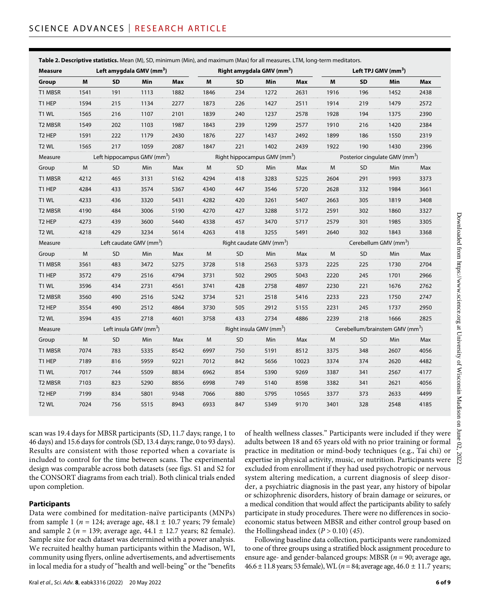| <b>Measure</b>    | Left amygdala GMV (mm <sup>3</sup> )    |           |      |                                          | Right amygdala GMV (mm <sup>3</sup> ) |           |      |                                            | Left TPJ GMV $(mm3)$                        |           |      |           |
|-------------------|-----------------------------------------|-----------|------|------------------------------------------|---------------------------------------|-----------|------|--------------------------------------------|---------------------------------------------|-----------|------|-----------|
| Group             | M                                       | <b>SD</b> | Min  | Max                                      | м                                     | <b>SD</b> | Min  | Max                                        | M                                           | <b>SD</b> | Min  | Max       |
| T1 MBSR           | 1541                                    | 191       | 1113 | 1882                                     | 1846                                  | 234       | 1272 | 2631                                       | 1916                                        | 196       | 1452 | 2438      |
| T1 HEP            | 1594                                    | 215       | 1134 | 2277                                     | 1873                                  | 226       | 1427 | 2511                                       | 1914                                        | 219       | 1479 | 2572      |
| T1 WL             | 1565                                    | 216       | 1107 | 2101                                     | 1839                                  | 240       | 1237 | 2578                                       | 1928                                        | 194       | 1375 | 2390      |
| T2 MBSR           | 1549                                    | 202       | 1103 | 1987                                     | 1843                                  | 239       | 1299 | 2577                                       | 1910                                        | 216       | 1420 | 2384<br>. |
| T2 HEP            | 1591                                    | 222       | 1179 | 2430                                     | 1876                                  | 227       | 1437 | 2492                                       | 1899                                        | 186       | 1550 | 2319      |
| T2 WL             | 1565                                    | 217       | 1059 | 2087                                     | 1847                                  | 221       | 1402 | 2439                                       | 1922                                        | 190       | 1430 | 2396      |
| Measure           | Left hippocampus GMV (mm <sup>3</sup> ) |           |      | Right hippocampus GMV (mm <sup>3</sup> ) |                                       |           |      | Posterior cingulate GMV (mm <sup>3</sup> ) |                                             |           |      |           |
| Group             | M                                       | <b>SD</b> | Min  | Max                                      | M                                     | <b>SD</b> | Min  | Max                                        | M                                           | SD        | Min  | Max       |
| t1 Mbsr           | 4212                                    | 465       | 3131 | 5162                                     | 4294                                  | 418       | 3283 | 5225                                       | 2604                                        | 291       | 1993 | 3373      |
| t1 hep            | 4284                                    | 433       | 3574 | 5367                                     | 4340                                  | 447       | 3546 | 5720                                       | 2628                                        | 332       | 1984 | 3661      |
| T1 WL             | 4233                                    | 436       | 3320 | 5431                                     | 4282                                  | 420       | 3261 | 5407                                       | 2663                                        | 305       | 1819 | 3408      |
| T2 MBSR           | 4190                                    | 484       | 3006 | 5190                                     | 4270                                  | 427       | 3288 | 5172                                       | 2591                                        | 302       | 1860 | 3327      |
| T2 HEP            | 4273                                    | 439       | 3600 | 5440                                     | 4338                                  | 457       | 3470 | 5717                                       | 2579                                        | 301       | 1985 | 3305      |
| T2 WL             | 4218                                    | 429       | 3234 | 5614                                     | 4263                                  | 418       | 3255 | 5491                                       | 2640                                        | 302       | 1843 | 3368      |
| Measure           | Left caudate GMV (mm <sup>3</sup> )     |           |      |                                          | Right caudate GMV (mm <sup>3</sup> )  |           |      |                                            | Cerebellum GMV (mm²)                        |           |      |           |
| Group             | M                                       | <b>SD</b> | Min  | Max                                      | M                                     | <b>SD</b> | Min  | Max                                        | M                                           | <b>SD</b> | Min  | Max       |
| T1 MBSR           | 3561                                    | 483       | 3472 | 5275                                     | 3728                                  | 518       | 2563 | 5373                                       | 2225                                        | 225       | 1730 | 2704      |
| T1 HEP            | 3572                                    | 479       | 2516 | 4794                                     | 3731                                  | 502       | 2905 | 5043                                       | 2220                                        | 245       | 1701 | 2966      |
| T1 WL             | 3596                                    | 434       | 2731 | 4561                                     | 3741                                  | 428       | 2758 | 4897                                       | 2230                                        | 221       | 1676 | 2762<br>. |
| T2 MBSR           | 3560                                    | 490       | 2516 | 5242                                     | 3734                                  | 521       | 2518 | 5416                                       | 2233                                        | 223       | 1750 | 2747      |
| T2 HEP            | 3554                                    | 490       | 2512 | 4864                                     | 3730                                  | 505       | 2912 | 5155                                       | 2231                                        | 245       | 1737 | 2950      |
| T <sub>2</sub> WL | 3594                                    | 435       | 2718 | 4601                                     | 3758                                  | 433       | 2734 | 4886                                       | 2239                                        | 218       | 1666 | 2825      |
| Measure           | .eft insula GMV (mm²)                   |           |      |                                          | Right insula GMV (mm <sup>3</sup> )   |           |      |                                            | Cerebellum/brainstem GMV (mm <sup>3</sup> ) |           |      |           |
| Group             | M                                       | <b>SD</b> | Min  | Max                                      | м                                     | <b>SD</b> | Min  | Max                                        | м                                           | <b>SD</b> | Min  | Max       |
| T1 MBSR           | 7074                                    | 783       | 5335 | 8542                                     | 6997                                  | 750       | 5191 | 8512                                       | 3375                                        | 348       | 2607 | 4056      |
| t1 hep            | 7189                                    | 816       | 5959 | 9221                                     | 7012                                  | 842       | 5656 | 10023                                      | 3374                                        | 374       | 2620 | 4482      |
| T1 WL             | 7017                                    | 744       | 5509 | 8834                                     | 6962                                  | 854       | 5390 | 9269                                       | 3387                                        | 341       | 2567 | 4177      |
| T2 MBSR           | 7103                                    | 823       | 5290 | 8856                                     | 6998                                  | 749       | 5140 | 8598                                       | 3382                                        | 341       | 2621 | 4056      |
| T2 HEP            | 7199                                    | 834       | 5801 | 9348                                     | 7066                                  | 880       | 5795 | 10565                                      | 3377                                        | 373       | 2633 | 4499      |
| T2 WL             | 7024                                    | 756       | 5515 | 8943                                     | 6933                                  | 847       | 5349 | 9170                                       | 3401                                        | 328       | 2548 | 4185      |

**Table 2. Descriptive statistics.** Mean (M), SD, minimum (Min), and maximum (Max) for all measures. LTM, long-term meditators.

scan was 19.4 days for MBSR participants (SD, 11.7 days; range, 1 to 46 days) and 15.6 days for controls (SD, 13.4 days; range, 0 to 93 days). Results are consistent with those reported when a covariate is included to control for the time between scans. The experimental design was comparable across both datasets (see figs. S1 and S2 for the CONSORT diagrams from each trial). Both clinical trials ended upon completion.

#### **Participants**

Data were combined for meditation-naïve participants (MNPs) from sample 1 ( $n = 124$ ; average age,  $48.1 \pm 10.7$  years; 79 female) and sample 2 ( $n = 139$ ; average age,  $44.1 \pm 12.7$  years; 82 female). Sample size for each dataset was determined with a power analysis. We recruited healthy human participants within the Madison, WI, community using flyers, online advertisements, and advertisements in local media for a study of "health and well-being" or the "benefits

of health wellness classes." Participants were included if they were adults between 18 and 65 years old with no prior training or formal practice in meditation or mind-body techniques (e.g., Tai chi) or expertise in physical activity, music, or nutrition. Participants were excluded from enrollment if they had used psychotropic or nervous system altering medication, a current diagnosis of sleep disorder, a psychiatric diagnosis in the past year, any history of bipolar or schizophrenic disorders, history of brain damage or seizures, or a medical condition that would affect the participants ability to safely participate in study procedures. There were no differences in socioeconomic status between MBSR and either control group based on the Hollingshead index  $(P > 0.10)$  (45).

Following baseline data collection, participants were randomized to one of three groups using a stratified block assignment procedure to ensure age- and gender-balanced groups: MBSR (*n* = 90; average age, 46.6 ± 11.8 years; 53 female), WL (*n* = 84; average age, 46.0 ± 11.7 years;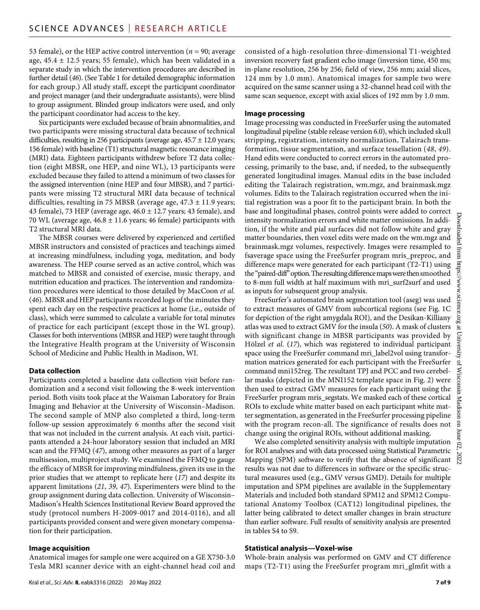53 female), or the HEP active control intervention ( $n = 90$ ; average age,  $45.4 \pm 12.5$  years; 55 female), which has been validated in a separate study in which the intervention procedures are described in further detail (*46*). (See Table 1 for detailed demographic information for each group.) All study staff, except the participant coordinator and project manager (and their undergraduate assistants), were blind to group assignment. Blinded group indicators were used, and only the participant coordinator had access to the key.

Six participants were excluded because of brain abnormalities, and two participants were missing structural data because of technical difficulties, resulting in 256 participants (average age,  $45.7 \pm 12.0$  years; 156 female) with baseline (T1) structural magnetic resonance imaging (MRI) data. Eighteen participants withdrew before T2 data collection (eight MBSR, one HEP, and nine WL), 13 participants were excluded because they failed to attend a minimum of two classes for the assigned intervention (nine HEP and four MBSR), and 7 participants were missing T2 structural MRI data because of technical difficulties, resulting in 75 MBSR (average age, 47.3 ± 11.9 years; 43 female), 73 HEP (average age, 46.0 ± 12.7 years; 43 female), and 70 WL (average age,  $46.8 \pm 11.6$  years; 46 female) participants with T2 structural MRI data.

The MBSR courses were delivered by experienced and certified MBSR instructors and consisted of practices and teachings aimed at increasing mindfulness, including yoga, meditation, and body awareness. The HEP course served as an active control, which was matched to MBSR and consisted of exercise, music therapy, and nutrition education and practices. The intervention and randomization procedures were identical to those detailed by MacCoon *et al.* (*46*). MBSR and HEP participants recorded logs of the minutes they spent each day on the respective practices at home (i.e., outside of class), which were summed to calculate a variable for total minutes of practice for each participant (except those in the WL group). Classes for both interventions (MBSR and HEP) were taught through the Integrative Health program at the University of Wisconsin School of Medicine and Public Health in Madison, WI.

#### **Data collection**

Participants completed a baseline data collection visit before randomization and a second visit following the 8-week intervention period. Both visits took place at the Waisman Laboratory for Brain Imaging and Behavior at the University of Wisconsin–Madison. The second sample of MNP also completed a third, long-term follow-up session approximately 6 months after the second visit that was not included in the current analysis. At each visit, participants attended a 24-hour laboratory session that included an MRI scan and the FFMQ (*47*), among other measures as part of a larger multisession, multiproject study. We examined the FFMQ to gauge the efficacy of MBSR for improving mindfulness, given its use in the prior studies that we attempt to replicate here (*17*) and despite its apparent limitations (*21*, *39*, *47*). Experimenters were blind to the group assignment during data collection. University of Wisconsin– Madison's Health Sciences Institutional Review Board approved the study (protocol numbers H-2009-0017 and 2014-0116), and all participants provided consent and were given monetary compensation for their participation.

#### **Image acquisition**

Anatomical images for sample one were acquired on a GE X750-3.0 Tesla MRI scanner device with an eight-channel head coil and consisted of a high-resolution three-dimensional T1-weighted inversion recovery fast gradient echo image (inversion time, 450 ms; in-plane resolution, 256 by 256; field of view, 256 mm; axial slices, 124 mm by 1.0 mm). Anatomical images for sample two were acquired on the same scanner using a 32-channel head coil with the same scan sequence, except with axial slices of 192 mm by 1.0 mm.

#### **Image processing**

Image processing was conducted in FreeSurfer using the automated longitudinal pipeline (stable release version 6.0), which included skull stripping, registration, intensity normalization, Talairach transformation, tissue segmentation, and surface tessellation (*48*, *49*). Hand edits were conducted to correct errors in the automated processing, primarily to the base, and, if needed, to the subsequently generated longitudinal images. Manual edits in the base included editing the Talairach registration, wm.mgz, and brainmask.mgz volumes. Edits to the Talairach registration occurred when the initial registration was a poor fit to the participant brain. In both the base and longitudinal phases, control points were added to correct intensity normalization errors and white matter omissions. In addition, if the white and pial surfaces did not follow white and gray matter boundaries, then voxel edits were made on the wm.mgz and brainmask.mgz volumes, respectively. Images were resampled to fsaverage space using the FreeSurfer program mris\_preproc, and difference maps were generated for each participant (T2-T1) using the "paired-diff" option. The resulting difference maps were then smoothed to 8-mm full width at half maximum with mri\_surf2surf and used as inputs for subsequent group analysis.

FreeSurfer's automated brain segmentation tool (aseg) was used to extract measures of GMV from subcortical regions (see Fig. 1C for depiction of the right amygdala ROI), and the Desikan-Killiany atlas was used to extract GMV for the insula (*50*). A mask of clusters with significant change in MBSR participants was provided by Hölzel *et al*. (*17*), which was registered to individual participant space using the FreeSurfer command mri\_label2vol using transformation matrices generated for each participant with the FreeSurfer command mni152reg. The resultant TPJ and PCC and two cerebellar masks (depicted in the MNI152 template space in Fig. 2) were then used to extract GMV measures for each participant using the FreeSurfer program mris\_segstats. We masked each of these cortical ROIs to exclude white matter based on each participant white matter segmentation, as generated in the FreeSurfer processing pipeline with the program recon-all. The significance of results does not change using the original ROIs, without additional masking.

We also completed sensitivity analysis with multiple imputation for ROI analyses and with data processed using Statistical Parametric Mapping (SPM) software to verify that the absence of significant results was not due to differences in software or the specific structural measures used (e.g., GMV versus GMD). Details for multiple imputation and SPM pipelines are available in the Supplementary Materials and included both standard SPM12 and SPM12 Computational Anatomy Toolbox (CAT12) longitudinal pipelines, the latter being calibrated to detect smaller changes in brain structure than earlier software. Full results of sensitivity analysis are presented in tables S4 to S9.

#### **Statistical analysis—Voxel-wise**

Whole-brain analysis was performed on GMV and CT difference maps (T2-T1) using the FreeSurfer program mri\_glmfit with a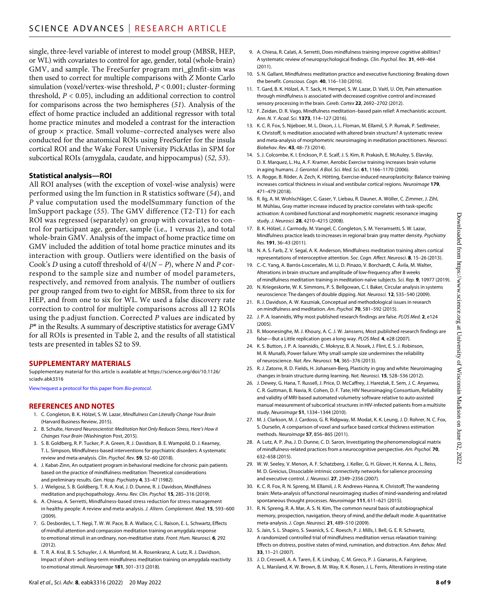single, three-level variable of interest to model group (MBSR, HEP, or WL) with covariates to control for age, gender, total (whole-brain) GMV, and sample. The FreeSurfer program mri\_glmfit-sim was then used to correct for multiple comparisons with *Z* Monte Carlo simulation (voxel/vertex-wise threshold, *P* < 0.001; cluster-forming threshold, *P* < 0.05), including an additional correction to control for comparisons across the two hemispheres (*51*). Analysis of the effect of home practice included an additional regressor with total home practice minutes and modeled a contrast for the interaction of group  $\times$  practice. Small volume–corrected analyses were also conducted for the anatomical ROIs using FreeSurfer for the insula cortical ROI and the Wake Forest University PickAtlas in SPM for subcortical ROIs (amygdala, caudate, and hippocampus) (*52*, *53*).

#### **Statistical analysis—ROI**

All ROI analyses (with the exception of voxel-wise analysis) were performed using the lm function in R statistics software (*54*), and *P* value computation used the modelSummary function of the lmSupport package (*55*). The GMV difference (T2-T1) for each ROI was regressed (separately) on group with covariates to control for participant age, gender, sample (i.e., 1 versus 2), and total whole-brain GMV. Analysis of the impact of home practice time on GMV included the addition of total home practice minutes and its interaction with group. Outliers were identified on the basis of Cook's *D* using a cutoff threshold of 4/(*N* − *P*), where *N* and *P* correspond to the sample size and number of model parameters, respectively, and removed from analysis. The number of outliers per group ranged from two to eight for MBSR, from three to six for HEP, and from one to six for WL. We used a false discovery rate correction to control for multiple comparisons across all 12 ROIs using the p.adjust function. Corrected *P* values are indicated by *P*\* in the Results. A summary of descriptive statistics for average GMV for all ROIs is presented in Table 2, and the results of all statistical tests are presented in tables S2 to S9.

#### **SUPPLEMENTARY MATERIALS**

Supplementary material for this article is available at [https://science.org/doi/10.1126/](https://science.org/doi/10.1126/sciadv.abk3316) [sciadv.abk3316](https://science.org/doi/10.1126/sciadv.abk3316)

[View/request a protocol for this paper from](https://en.bio-protocol.org/cjrap.aspx?eid=10.1126/sciadv.abk3316) *Bio-protocol*.

#### **REFERENCES AND NOTES**

- 1. C. Congleton, B. K. Hölzel, S. W. Lazar, *Mindfulness Can Literally Change Your Brain* (Harvard Business Review, 2015).
- 2. B. Schulte, *Harvard Neuroscientist: Meditation Not Only Reduces Stress, Here's How it Changes Your Brain* (Washington Post, 2015).
- 3. S. B. Goldberg, R. P. Tucker, P. A. Green, R. J. Davidson, B. E. Wampold, D. J. Kearney, T. L. Simpson, Mindfulness-based interventions for psychiatric disorders: A systematic review and meta-analysis. *Clin. Psychol. Rev.* **59**, 52–60 (2018).
- 4. J. Kabat-Zinn, An outpatient program in behavioral medicine for chronic pain patients based on the practice of mindfulness meditation: Theoretical considerations and preliminary results. *Gen. Hosp. Psychiatry* **4**, 33–47 (1982).
- 5. J. Wielgosz, S. B. Goldberg, T. R. A. Kral, J. D. Dunne, R. J. Davidson, Mindfulness meditation and psychopathology. *Annu. Rev. Clin. Psychol.* **15**, 285–316 (2019).
- 6. A. Chiesa, A. Serretti, Mindfulness-based stress reduction forstress management in healthy people: A review and meta-analysis. *J. Altern. Complement. Med.* **15**, 593–600 (2009).
- 7. G. Desbordes, L. T. Negi, T. W. W. Pace, B. A. Wallace, C. L. Raison, E. L. Schwartz, Effects of mindful-attention and compassion meditation training on amygdala response to emotional stimuli in an ordinary, non-meditative state. *Front. Hum. Neurosci.* **6**, 292 (2012).
- 8. T. R. A. Kral, B. S. Schuyler, J. A. Mumford, M. A. Rosenkranz, A. Lutz, R. J. Davidson, Impact of short- and long-term mindfulness meditation training on amygdala reactivity to emotional stimuli. *Neuroimage* **181**, 301–313 (2018).
- 9. A. Chiesa, R. Calati, A. Serretti, Does mindfulness training improve cognitive abilities? A systematic review of neuropsychological findings. *Clin. Psychol. Rev.* **31**, 449–464 (2011).
- 10. S. N. Gallant, Mindfulness meditation practice and executive functioning: Breaking down the benefit. *Conscious. Cogn.* **40**, 116–130 (2016).
- 11. T. Gard, B. K. Hölzel, A. T. Sack, H. Hempel, S. W. Lazar, D. Vaitl, U. Ott, Pain attenuation through mindfulness is associated with decreased cognitive control and increased sensory processing in the brain. *Cereb. Cortex* **22**, 2692–2702 (2012).
- 12. F. Zeidan, D. R. Vago, Mindfulness meditation–based pain relief: A mechanistic account. *Ann. N. Y. Acad. Sci.* **1373**, 114–127 (2016).
- 13. K. C. R. Fox, S. Nijeboer, M. L. Dixon, J. L. Floman, M. Ellamil, S. P. Rumak, P. Sedlmeier, K. Christoff, Is meditation associated with altered brain structure? A systematic review and meta-analysis of morphometric neuroimaging in meditation practitioners. *Neurosci. Biobehav. Rev.* **43**, 48–73 (2014).
- 14. S. J. Colcombe, K. I. Erickson, P. E. Scalf, J. S. Kim, R. Prakash, E. McAuley, S. Elavsky, D. X. Marquez, L. Hu, A. F. Kramer, Aerobic Exercise training increases brain volume in aging humans. *J. Gerontol. A Biol. Sci. Med. Sci.* **61**, 1166–1170 (2006).
- 15. A. Rogge, B. Röder, A. Zech, K. Hötting, Exercise-induced neuroplasticity: Balance training increases cortical thickness in visual and vestibular cortical regions. *Neuroimage* **179**, 471–479 (2018).
- 16. R. Ilg, A. M. Wohlschläger, C. Gaser, Y. Liebau, R. Dauner, A. Wöller, C. Zimmer, J. Zihl, M. Mühlau, Gray matter increase induced by practice correlates with task-specific activation: A combined functional and morphometric magnetic resonance imaging study. *J. Neurosci.* **28**, 4210–4215 (2008).
- 17. B. K. Hölzel, J. Carmody, M. Vangel, C. Congleton, S. M. Yerramsetti, S. W. Lazar, Mindfulness practice leads to increases in regional brain gray matter density. *Psychiatry Res.* **191**, 36–43 (2011).
- 18. N. A. S. Farb, Z. V. Segal, A. K. Anderson, Mindfulness meditation training alters cortical representations of interoceptive attention. *Soc. Cogn. Affect. Neurosci.* **8**, 15–26 (2013).
- 19. C.-C. Yang, A. Barrós-Loscertales, M. Li, D. Pinazo, V. Borchardt, C. Ávila, M. Walter, Alterations in brain structure and amplitude of low-frequency after 8 weeks of mindfulness meditation training in meditation-naïve subjects. *Sci. Rep.* **9**, 10977 (2019).
- 20. N. Kriegeskorte, W. K. Simmons, P. S. Bellgowan, C. I. Baker, Circular analysis in systems neuroscience: The dangers of double dipping. *Nat. Neurosci.* **12**, 535–540 (2009).
- 21. R. J. Davidson, A. W. Kaszniak, Conceptual and methodological issues in research on mindfulness and meditation. *Am. Psychol.* **70**, 581–592 (2015).
- 22. J. P. A. Ioannidis, Why most published research findings are false. *PLOS Med.* **2**, e124 (2005).
- 23. R. Moonesinghe, M. J. Khoury, A. C. J. W. Janssens, Most published research findings are false—But a Little replication goes a long way. *PLOS Med.* **4**, e28 (2007).
- 24. K. S. Button, J. P. A. Ioannidis, C. Mokrysz, B. A. Nosek, J. Flint, E. S. J. Robinson, M. R. Munafò, Power failure: Why small sample size undermines the reliability of neuroscience. *Nat. Rev. Neurosci.* **14**, 365–376 (2013).
- 25. R. J. Zatorre, R. D. Fields, H. Johansen-Berg, Plasticity in gray and white: Neuroimaging changes in brain structure during learning. *Nat. Neurosci.* **15**, 528–536 (2012).
- 26. J. Dewey, G. Hana, T. Russell, J. Price, D. McCaffrey, J. Harezlak, E. Sem, J. C. Anyanwu, C. R. Guttman, B. Navia, R. Cohen, D. F. Tate; HIV Neuroimaging Consortium, Reliability and validity of MRI-based automated volumetry software relative to auto-assisted manual measurement ofsubcortical structures in HIV-infected patients from a multisite study. *Neuroimage* **51**, 1334–1344 (2010).
- 27. M. J. Clarkson, M. J. Cardoso, G. R. Ridgway, M. Modat, K. K. Leung, J. D. Rohrer, N. C. Fox, S. Ourselin, A comparison of voxel and surface based cortical thickness estimation methods. *Neuroimage* **57**, 856–865 (2011).
- 28. A. Lutz, A. P. Jha, J. D. Dunne, C. D. Saron, Investigating the phenomenological matrix of mindfulness-related practices from a neurocognitive perspective. *Am. Psychol.* **70**, 632–658 (2015).
- 29. W. W. Seeley, V. Menon, A. F. Schatzberg, J. Keller, G. H. Glover, H. Kenna, A. L. Reiss, M. D. Greicius, Dissociable intrinsic connectivity networks forsalience processing and executive control. *J. Neurosci.* **27**, 2349–2356 (2007).
- 30. K. C. R. Fox, R. N. Spreng, M. Ellamil, J. R. Andrews-Hanna, K. Christoff, The wandering brain: Meta-analysis of functional neuroimaging studies of mind-wandering and related spontaneous thought processes. *Neuroimage* **111**, 611–621 (2015).
- 31. R. N. Spreng, R. A. Mar, A. S. N. Kim, The common neural basis of autobiographical memory, prospection, navigation, theory of mind, and the default mode: A quantitative meta-analysis. *J. Cogn. Neurosci.* **21**, 489–510 (2009).
- 32. S. Jain, S. L. Shapiro, S. Swanick, S. C. Roesch, P. J. Mills, I. Bell, G. E. R. Schwartz, A randomized controlled trial of mindfulness meditation versus relaxation training: Effects on distress, positive states of mind, rumination, and distraction. *Ann. Behav. Med.* **33**, 11–21 (2007).
- 33. J. D. Creswell, A. A. Taren, E. K. Lindsay, C. M. Greco, P. J. Gianaros, A. Fairgrieve, A. L. Marsland, K. W. Brown, B. M. Way, R. K. Rosen, J. L. Ferris, Alterations in resting-state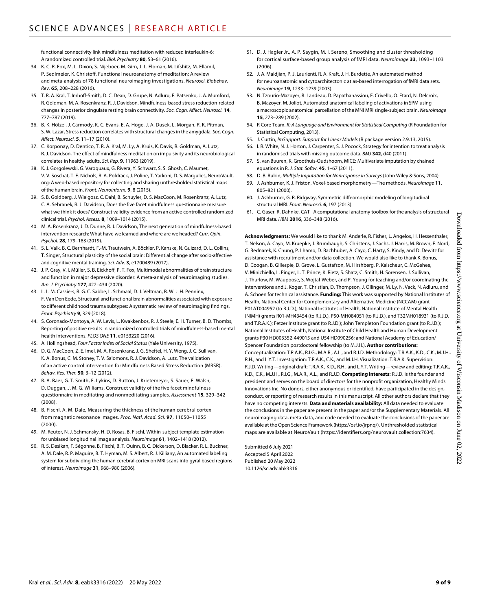functional connectivity link mindfulness meditation with reduced interleukin-6: A randomized controlled trial. *Biol. Psychiatry* **80**, 53–61 (2016).

- 34. K. C. R. Fox, M. L. Dixon, S. Nijeboer, M. Girn, J. L. Floman, M. Lifshitz, M. Ellamil, P. Sedlmeier, K. Christoff, Functional neuroanatomy of meditation: A review and meta-analysis of 78 functional neuroimaging investigations. *Neurosci. Biobehav. Rev.* **65**, 208–228 (2016).
- 35. T. R. A. Kral, T. Imhoff-Smith, D. C. Dean, D. Grupe, N. Adluru, E. Patsenko, J. A. Mumford, R. Goldman, M. A. Rosenkranz, R. J. Davidson, Mindfulness-based stress reduction-related changes in posterior cingulate resting brain connectivity. *Soc. Cogn. Affect. Neurosci.* **14**, 777–787 (2019).
- 36. B. K. Hölzel, J. Carmody, K. C. Evans, E. A. Hoge, J. A. Dusek, L. Morgan, R. K. Pitman, S. W. Lazar, Stress reduction correlates with structural changes in the amygdala. *Soc. Cogn. Affect. Neurosci.* **5**, 11–17 (2010).
- 37. C. Korponay, D. Dentico, T. R. A. Kral, M. Ly, A. Kruis, K. Davis, R. Goldman, A. Lutz, R. J. Davidson, The effect of mindfulness meditation on impulsivity and its neurobiological correlates in healthy adults. *Sci. Rep.* **9**, 11963 (2019).
- 38. K. J. Gorgolewski, G. Varoquaux, G. Rivera, Y. Schwarz, S. S. Ghosh, C. Maumet, V. V. Soschat, T. E. Nichols, R. A. Poldrack, J. Poline, T. Yarkoni, D. S. Margulies, [NeuroVault.](http://NeuroVault.org) [org](http://NeuroVault.org): A web-based repository for collecting and sharing unthresholded statistical maps of the human brain. *Front. Neuroinform.* **9**, 8 (2015).
- 39. S. B. Goldberg, J. Wielgosz, C. Dahl, B. Schuyler, D. S. MacCoon, M. Rosenkranz, A. Lutz, C. A. Sebranek, R. J. Davidson, Does the five facet mindfulness questionnaire measure what we think it does? Construct validity evidence from an active controlled randomized clinical trial. *Psychol. Assess.* **8**, 1009–1014 (2015).
- 40. M. A. Rosenkranz, J. D. Dunne, R. J. Davidson, The next generation of mindfulness-based intervention research: What have we learned and where are we headed? *Curr. Opin. Psychol.* **28**, 179–183 (2019).
- 41. S. L. Valk, B. C. Bernhardt, F.-M. Trautwein, A. Böckler, P. Kanske, N. Guizard, D. L. Collins, T. Singer, Structural plasticity of the social brain: Differential change after socio-affective and cognitive mental training. *Sci. Adv.* **3**, e1700489 (2017).
- 42. J. P. Gray, V. I. Müller, S. B. Eickhoff, P. T. Fox, Multimodal abnormalities of brain structure and function in major depressive disorder: A meta-analysis of neuroimaging studies. *Am. J. Psychiatry* **177**, 422–434 (2020).
- 43. L. L. M. Cassiers, B. G. C. Sabbe, L. Schmaal, D. J. Veltman, B. W. J. H. Penninx, F. Van Den Eede, Structural and functional brain abnormalities associated with exposure to different childhood trauma subtypes: A systematic review of neuroimaging findings. *Front. Psychiatry* **9**, 329 (2018).
- 44. S. Coronado-Montoya, A. W. Levis, L. Kwakkenbos, R. J. Steele, E. H. Turner, B. D. Thombs, Reporting of positive results in randomized controlled trials of mindfulness-based mental health interventions. *PLOS ONE* **11**, e0153220 (2016).
- 45. A. Hollingshead, *Four Factor Index of Social Status* (Yale University, 1975).
- 46. D. G. MacCoon, Z. E. Imel, M. A. Rosenkranz, J. G. Sheftel, H. Y. Weng, J. C. Sullivan, K. A. Bonus, C. M. Stoney, T. V. Salomons, R. J. Davidson, A. Lutz, The validation of an active control intervention for Mindfulness Based Stress Reduction (MBSR). *Behav. Res. Ther.* **50**, 3–12 (2012).
- 47. R. A. Baer, G. T. Smith, E. Lykins, D. Button, J. Krietemeyer, S. Sauer, E. Walsh, D. Duggan, J. M. G. Williams, Construct validity of the five facet mindfulness questionnaire in meditating and nonmeditating samples. *Assessment* **15**, 329–342 (2008).
- 48. B. Fischl, A. M. Dale, Measuring the thickness of the human cerebral cortex from magnetic resonance images. *Proc. Natl. Acad. Sci.* **97**, 11050–11055 (2000).
- 49. M. Reuter, N. J. Schmansky, H. D. Rosas, B. Fischl, Within-subject template estimation for unbiased longitudinal image analysis. *Neuroimage* **61**, 1402–1418 (2012).
- 50. R. S. Desikan, F. Ségonne, B. Fischl, B. T. Quinn, B. C. Dickerson, D. Blacker, R. L. Buckner, A. M. Dale, R. P. Maguire, B. T. Hyman, M. S. Albert, R. J. Killiany, An automated labeling system for subdividing the human cerebral cortex on MRI scans into gyral based regions of interest. *Neuroimage* **31**, 968–980 (2006).
- 51. D. J. Hagler Jr., A. P. Saygin, M. I. Sereno, Smoothing and cluster thresholding for cortical surface-based group analysis of fMRI data. *Neuroimage* **33**, 1093–1103  $(2006)$
- 52. J. A. Maldjian, P. J. Laurienti, R. A. Kraft, J. H. Burdette, An automated method for neuroanatomic and cytoarchitectonic atlas-based interrogation of fMRI data sets. *Neuroimage* **19**, 1233–1239 (2003).
- 53. N. Tzourio-Mazoyer, B. Landeau, D. Papathanassiou, F. Crivello, O. Etard, N. Delcroix, B. Mazoyer, M. Joliot, Automated anatomical labeling of activations in SPM using a macroscopic anatomical parcellation of the MNI MRI single-subject brain. *Neuroimage* **15**, 273-289 (2002)
- 54. R Core Team. *R: A Language and Environment for Statistical Computing* (R Foundation for Statistical Computing, 2013).
- 55. J. Curtin, *lmSupport: Support for Linear Models* (R package version 2.9.13, 2015).
- 56. I. R. White, N. J. Horton, J. Carpenter, S. J. Pocock, Strategy for intention to treat analysis in randomised trials with missing outcome data. *BMJ* **342**, d40 (2011).
- 57. S. van Buuren, K. Groothuis-Oudshoorn, MICE: Multivariate imputation by chained equations in R. *J. Stat. Softw.* **45**, 1–67 (2011).
- 58. D. B. Rubin, *Multiple Imputation for Nonresponse in Surveys* (John Wiley & Sons, 2004).
- 59. J. Ashburner, K. J. Friston, Voxel-based morphometry—The methods. *Neuroimage* **11**, 805–821 (2000).
- 60. J. Ashburner, G. R. Ridgway, Symmetric diffeomorphic modeling of longitudinal structural MRI. *Front. Neurosci.* **6**, 197 (2013).
- 61. C. Gaser, R. Dahnke, CAT A computational anatomy toolbox for the analysis ofstructural MRI data. *HBM* **2016**, 336–348 (2016).

**Acknowledgments:** We would like to thank M. Anderle, R. Fisher, L. Angelos, H. Hessenthaler, T. Nelson, A. Cayo, M. Kruepke, J. Brumbaugh, S. Christens, J. Sachs, J. Harris, M. Brown, E. Nord, G. Bednarek, K. Chung, P. Lhamo, D. Bachhuber, A. Cayo, C. Harty, S. Kindy, and D. Dewitz for assistance with recruitment and/or data collection. We would also like to thank K. Bonus, D. Coogan, B. Gillespie, D. Grove, L. Gustafson, M. Hirshberg, P. Kalscheur, C. McGehee, V. Minichiello, L. Pinger, L. T. Prince, K. Rietz, S. Shatz, C. Smith, H. Sorensen, J. Sullivan, J. Thurlow, M. Waupoose, S. Wojtal-Weber, and P. Young for teaching and/or coordinating the interventions and J. Koger, T. Christian, D. Thompson, J. Ollinger, M. Ly, N. Vack, N. Adluru, and A. Schoen for technical assistance. **Funding:** This work was supported by National Institutes of Health, National Center for Complementary and Alternative Medicine (NCCAM) grant P01AT004952 (to R.J.D.); National Institutes of Health, National Institute of Mental Health (NIMH) grants R01-MH43454 (to R.J.D.), P50-MH084051 (to R.J.D.), and T32MH018931 (to R.J.D. and T.R.A.K.); Fetzer Institute grant (to R.J.D.); John Templeton Foundation grant (to R.J.D.); National Institutes of Health, National Institute of Child Health and Human Development grants P30 HD003352-449015 and U54 HD090256; and National Academy of Education/ Spencer Foundation postdoctoral fellowship (to M.J.H.). **Author contributions:** Conceptualization: T.R.A.K., R.I.G., M.A.R., A.L., and R.J.D. Methodology: T.R.A.K., K.D., C.K., M.J.H., R.H., and L.Y.T. Investigation: T.R.A.K., C.K., and M.J.H. Visualization: T.R.A.K. Supervision: R.J.D. Writing—original draft: T.R.A.K., K.D., R.H., and L.Y.T. Writing—review and editing: T.R.A.K., K.D., C.K., M.J.H., R.I.G., M.A.R., A.L., and R.J.D. **Competing interests:** R.J.D. is the founder and president and serves on the board of directors for the nonprofit organization, Healthy Minds Innovations Inc. No donors, either anonymous or identified, have participated in the design, conduct, or reporting of research results in this manuscript. All other authors declare that they have no competing interests. **Data and materials availability:** All data needed to evaluate the conclusions in the paper are present in the paper and/or the Supplementary Materials. All neuroimaging data, meta-data, and code needed to evaluate the conclusions of the paper are available at the Open Science Framework (<https://osf.io/jrpnq/>). Unthresholded statistical maps are available at NeuroVault ([https://identifiers.org/neurovault.collection:7634\)](https://identifiers.org/neurovault.collection:7634).

Submitted 6 July 2021 Accepted 5 April 2022 Published 20 May 2022 10.1126/sciadv.abk3316